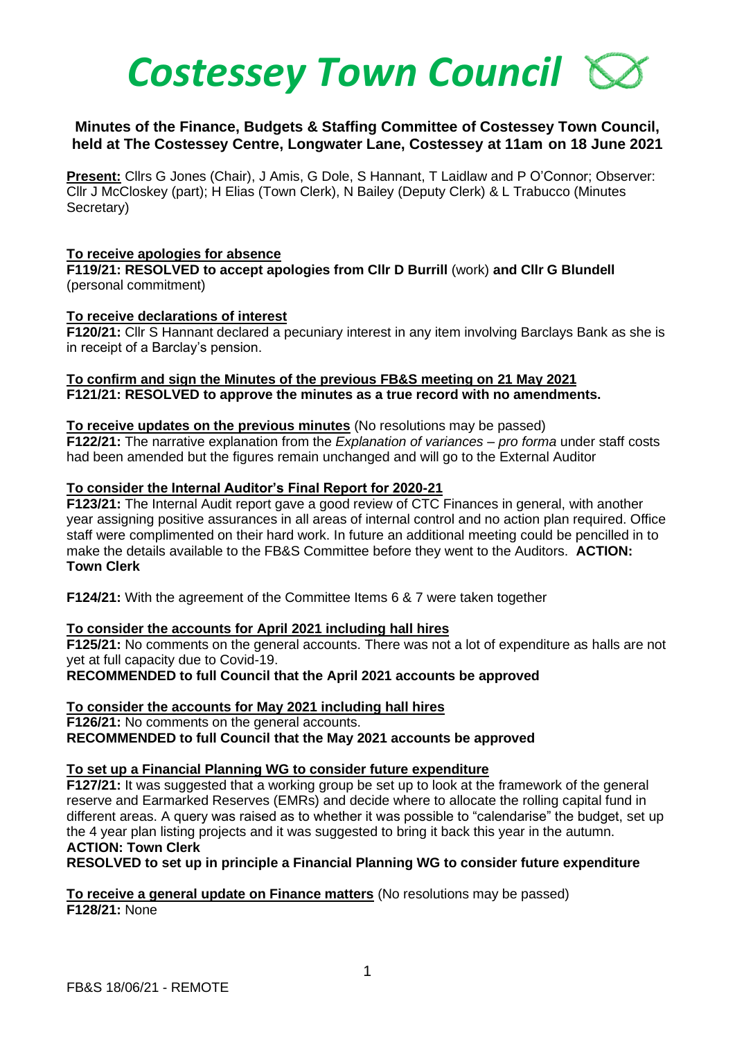

# **Minutes of the Finance, Budgets & Staffing Committee of Costessey Town Council, held at The Costessey Centre, Longwater Lane, Costessey at 11am on 18 June 2021**

**Present:** Cllrs G Jones (Chair), J Amis, G Dole, S Hannant, T Laidlaw and P O'Connor; Observer: Cllr J McCloskey (part); H Elias (Town Clerk), N Bailey (Deputy Clerk) & L Trabucco (Minutes Secretary)

### **To receive apologies for absence**

**F119/21: RESOLVED to accept apologies from Cllr D Burrill** (work) **and Cllr G Blundell** (personal commitment)

#### **To receive declarations of interest**

**F120/21:** Cllr S Hannant declared a pecuniary interest in any item involving Barclays Bank as she is in receipt of a Barclay's pension.

**To confirm and sign the Minutes of the previous FB&S meeting on 21 May 2021 F121/21: RESOLVED to approve the minutes as a true record with no amendments.**

### **To receive updates on the previous minutes** (No resolutions may be passed)

**F122/21:** The narrative explanation from the *Explanation of variances – pro forma* under staff costs had been amended but the figures remain unchanged and will go to the External Auditor

#### **To consider the Internal Auditor's Final Report for 2020-21**

**F123/21:** The Internal Audit report gave a good review of CTC Finances in general, with another year assigning positive assurances in all areas of internal control and no action plan required. Office staff were complimented on their hard work. In future an additional meeting could be pencilled in to make the details available to the FB&S Committee before they went to the Auditors. **ACTION: Town Clerk**

**F124/21:** With the agreement of the Committee Items 6 & 7 were taken together

### **To consider the accounts for April 2021 including hall hires**

**F125/21:** No comments on the general accounts. There was not a lot of expenditure as halls are not yet at full capacity due to Covid-19.

**RECOMMENDED to full Council that the April 2021 accounts be approved**

### **To consider the accounts for May 2021 including hall hires**

**F126/21:** No comments on the general accounts. **RECOMMENDED to full Council that the May 2021 accounts be approved**

## **To set up a Financial Planning WG to consider future expenditure**

**F127/21:** It was suggested that a working group be set up to look at the framework of the general reserve and Earmarked Reserves (EMRs) and decide where to allocate the rolling capital fund in different areas. A query was raised as to whether it was possible to "calendarise" the budget, set up the 4 year plan listing projects and it was suggested to bring it back this year in the autumn. **ACTION: Town Clerk**

**RESOLVED to set up in principle a Financial Planning WG to consider future expenditure**

**To receive a general update on Finance matters** (No resolutions may be passed) **F128/21:** None